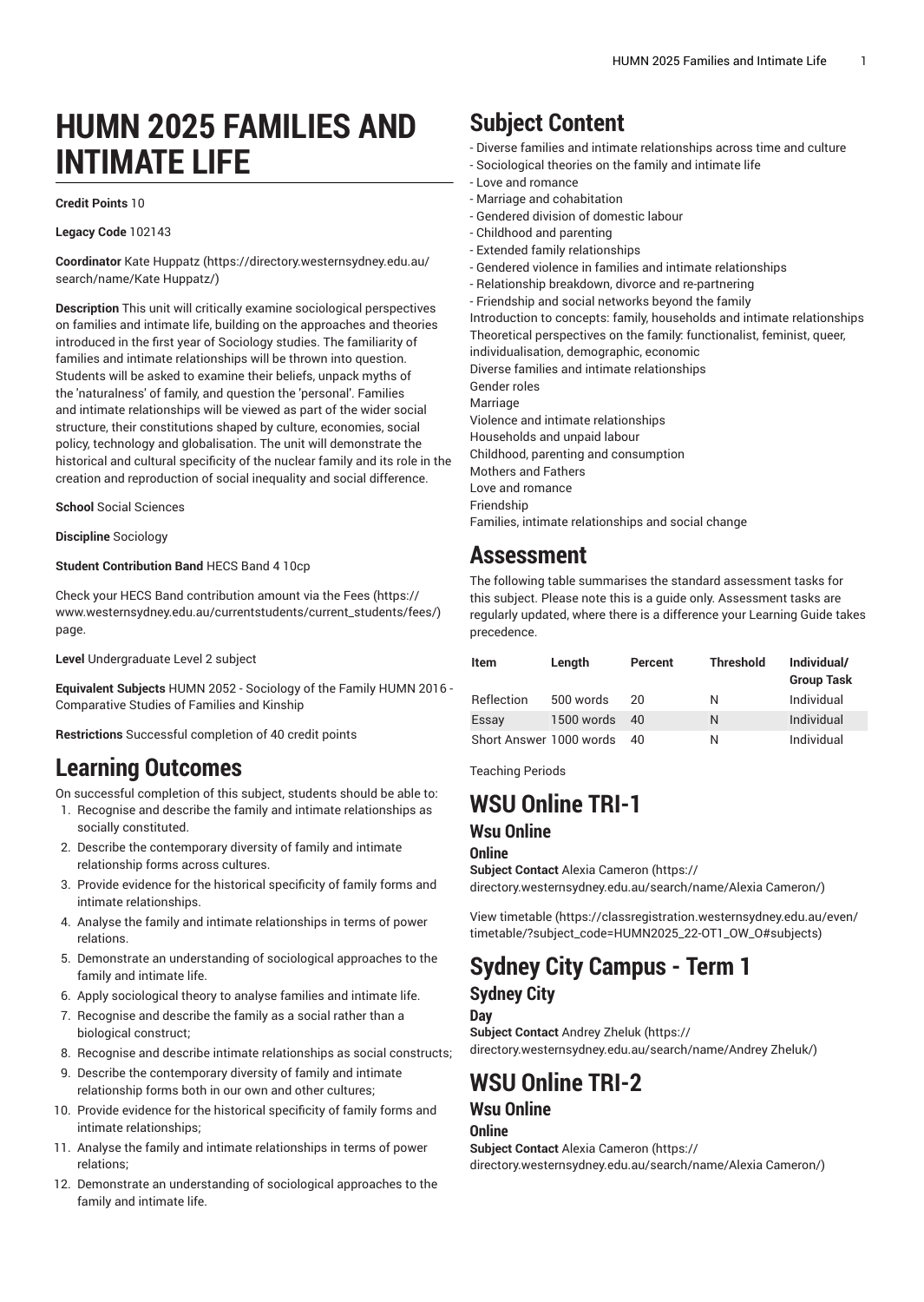# **HUMN 2025 FAMILIES AND INTIMATE LIFE**

#### **Credit Points** 10

**Legacy Code** 102143

**Coordinator** [Kate Huppatz](https://directory.westernsydney.edu.au/search/name/Kate Huppatz/) [\(https://directory.westernsydney.edu.au/](https://directory.westernsydney.edu.au/search/name/Kate Huppatz/) [search/name/Kate](https://directory.westernsydney.edu.au/search/name/Kate Huppatz/) Huppatz/)

**Description** This unit will critically examine sociological perspectives on families and intimate life, building on the approaches and theories introduced in the first year of Sociology studies. The familiarity of families and intimate relationships will be thrown into question. Students will be asked to examine their beliefs, unpack myths of the 'naturalness' of family, and question the 'personal'. Families and intimate relationships will be viewed as part of the wider social structure, their constitutions shaped by culture, economies, social policy, technology and globalisation. The unit will demonstrate the historical and cultural specificity of the nuclear family and its role in the creation and reproduction of social inequality and social difference.

**School** Social Sciences

**Discipline** Sociology

#### **Student Contribution Band** HECS Band 4 10cp

Check your HECS Band contribution amount via the [Fees \(https://](https://www.westernsydney.edu.au/currentstudents/current_students/fees/) [www.westernsydney.edu.au/currentstudents/current\\_students/fees/\)](https://www.westernsydney.edu.au/currentstudents/current_students/fees/) page.

**Level** Undergraduate Level 2 subject

**Equivalent Subjects** HUMN 2052 - Sociology of the Family HUMN 2016 - Comparative Studies of Families and Kinship

**Restrictions** Successful completion of 40 credit points

## **Learning Outcomes**

On successful completion of this subject, students should be able to:

- 1. Recognise and describe the family and intimate relationships as socially constituted.
- 2. Describe the contemporary diversity of family and intimate relationship forms across cultures.
- 3. Provide evidence for the historical specificity of family forms and intimate relationships.
- 4. Analyse the family and intimate relationships in terms of power relations.
- 5. Demonstrate an understanding of sociological approaches to the family and intimate life.
- 6. Apply sociological theory to analyse families and intimate life.
- 7. Recognise and describe the family as a social rather than a biological construct;
- 8. Recognise and describe intimate relationships as social constructs;
- 9. Describe the contemporary diversity of family and intimate relationship forms both in our own and other cultures;
- 10. Provide evidence for the historical specificity of family forms and intimate relationships;
- 11. Analyse the family and intimate relationships in terms of power relations;
- 12. Demonstrate an understanding of sociological approaches to the family and intimate life.

# **Subject Content**

- Diverse families and intimate relationships across time and culture

- Sociological theories on the family and intimate life
- Love and romance
- Marriage and cohabitation - Gendered division of domestic labour
- Childhood and parenting
- Extended family relationships
- Gendered violence in families and intimate relationships
- Relationship breakdown, divorce and re-partnering
- Friendship and social networks beyond the family

Introduction to concepts: family, households and intimate relationships Theoretical perspectives on the family: functionalist, feminist, queer,

individualisation, demographic, economic

Diverse families and intimate relationships Gender roles

Marriage

Violence and intimate relationships

Households and unpaid labour

Childhood, parenting and consumption

Mothers and Fathers Love and romance

**Friendshin** 

Families, intimate relationships and social change

### **Assessment**

The following table summarises the standard assessment tasks for this subject. Please note this is a guide only. Assessment tasks are regularly updated, where there is a difference your Learning Guide takes precedence.

| <b>Item</b>             | Length     | Percent | <b>Threshold</b> | Individual/<br><b>Group Task</b> |
|-------------------------|------------|---------|------------------|----------------------------------|
| Reflection              | 500 words  | 20      | N                | Individual                       |
| Essay                   | 1500 words | 40      | N                | Individual                       |
| Short Answer 1000 words |            | 40.     | N                | Individual                       |

Teaching Periods

# **WSU Online TRI-1**

### **Wsu Online**

**Online**

**Subject Contact** Alexia [Cameron](https://directory.westernsydney.edu.au/search/name/Alexia Cameron/) ([https://](https://directory.westernsydney.edu.au/search/name/Alexia Cameron/) [directory.westernsydney.edu.au/search/name/Alexia](https://directory.westernsydney.edu.au/search/name/Alexia Cameron/) Cameron/)

[View timetable](https://classregistration.westernsydney.edu.au/even/timetable/?subject_code=HUMN2025_22-OT1_OW_O#subjects) [\(https://classregistration.westernsydney.edu.au/even/](https://classregistration.westernsydney.edu.au/even/timetable/?subject_code=HUMN2025_22-OT1_OW_O#subjects) [timetable/?subject\\_code=HUMN2025\\_22-OT1\\_OW\\_O#subjects\)](https://classregistration.westernsydney.edu.au/even/timetable/?subject_code=HUMN2025_22-OT1_OW_O#subjects)

### **Sydney City Campus - Term 1 Sydney City**

**Day Subject Contact** [Andrey](https://directory.westernsydney.edu.au/search/name/Andrey Zheluk/) Zheluk ([https://](https://directory.westernsydney.edu.au/search/name/Andrey Zheluk/)

[directory.westernsydney.edu.au/search/name/Andrey](https://directory.westernsydney.edu.au/search/name/Andrey Zheluk/) Zheluk/)

### **WSU Online TRI-2**

#### **Wsu Online Online**

**Subject Contact** Alexia [Cameron](https://directory.westernsydney.edu.au/search/name/Alexia Cameron/) ([https://](https://directory.westernsydney.edu.au/search/name/Alexia Cameron/) [directory.westernsydney.edu.au/search/name/Alexia](https://directory.westernsydney.edu.au/search/name/Alexia Cameron/) Cameron/)